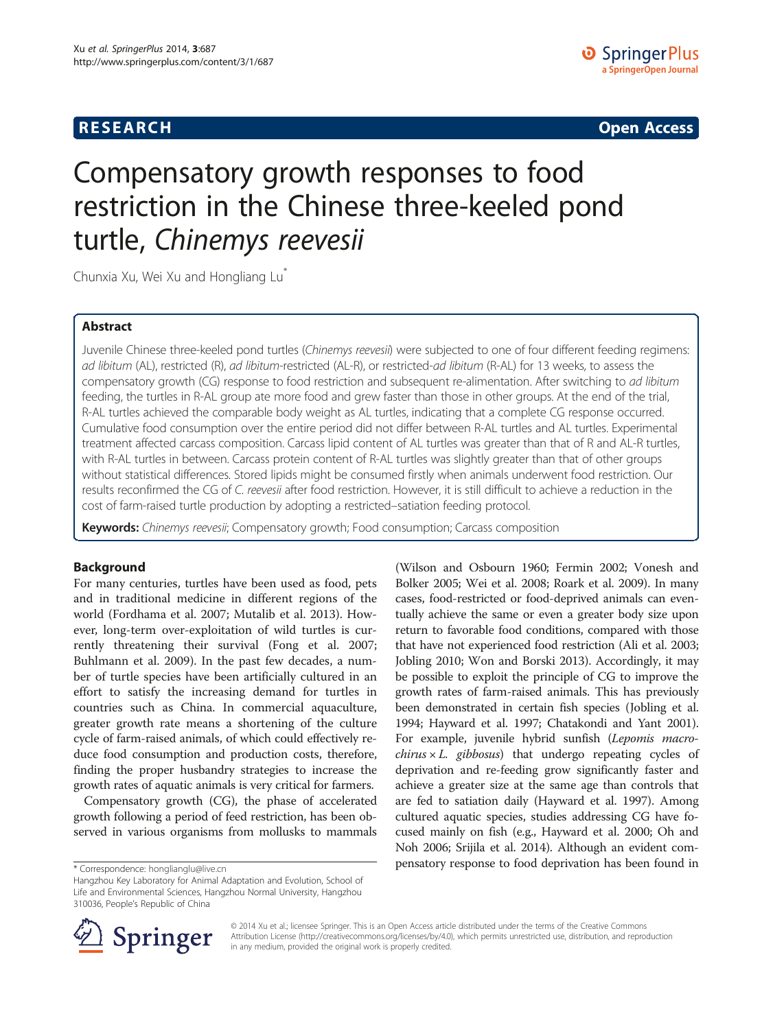**RESEARCH RESEARCH CONSUMING ACCESS** 

# Compensatory growth responses to food restriction in the Chinese three-keeled pond turtle, Chinemys reevesii

Chunxia Xu, Wei Xu and Hongliang Lu<sup>\*</sup>

# Abstract

Juvenile Chinese three-keeled pond turtles (Chinemys reevesii) were subjected to one of four different feeding regimens: ad libitum (AL), restricted (R), ad libitum-restricted (AL-R), or restricted-ad libitum (R-AL) for 13 weeks, to assess the compensatory growth (CG) response to food restriction and subsequent re-alimentation. After switching to ad libitum feeding, the turtles in R-AL group ate more food and grew faster than those in other groups. At the end of the trial, R-AL turtles achieved the comparable body weight as AL turtles, indicating that a complete CG response occurred. Cumulative food consumption over the entire period did not differ between R-AL turtles and AL turtles. Experimental treatment affected carcass composition. Carcass lipid content of AL turtles was greater than that of R and AL-R turtles, with R-AL turtles in between. Carcass protein content of R-AL turtles was slightly greater than that of other groups without statistical differences. Stored lipids might be consumed firstly when animals underwent food restriction. Our results reconfirmed the CG of C. reevesii after food restriction. However, it is still difficult to achieve a reduction in the cost of farm-raised turtle production by adopting a restricted–satiation feeding protocol.

Keywords: Chinemys reevesii; Compensatory growth; Food consumption; Carcass composition

# Background

For many centuries, turtles have been used as food, pets and in traditional medicine in different regions of the world (Fordhama et al. [2007;](#page-5-0) Mutalib et al. [2013\)](#page-5-0). However, long-term over-exploitation of wild turtles is currently threatening their survival (Fong et al. [2007](#page-5-0); Buhlmann et al. [2009](#page-5-0)). In the past few decades, a number of turtle species have been artificially cultured in an effort to satisfy the increasing demand for turtles in countries such as China. In commercial aquaculture, greater growth rate means a shortening of the culture cycle of farm-raised animals, of which could effectively reduce food consumption and production costs, therefore, finding the proper husbandry strategies to increase the growth rates of aquatic animals is very critical for farmers.

Compensatory growth (CG), the phase of accelerated growth following a period of feed restriction, has been observed in various organisms from mollusks to mammals

(Wilson and Osbourn [1960](#page-6-0); Fermin [2002](#page-5-0); Vonesh and Bolker [2005](#page-6-0); Wei et al. [2008](#page-6-0); Roark et al. [2009](#page-5-0)). In many cases, food-restricted or food-deprived animals can eventually achieve the same or even a greater body size upon return to favorable food conditions, compared with those that have not experienced food restriction (Ali et al. [2003](#page-5-0); Jobling [2010](#page-5-0); Won and Borski [2013\)](#page-6-0). Accordingly, it may be possible to exploit the principle of CG to improve the growth rates of farm-raised animals. This has previously been demonstrated in certain fish species (Jobling et al. [1994](#page-5-0); Hayward et al. [1997](#page-5-0); Chatakondi and Yant [2001](#page-5-0)). For example, juvenile hybrid sunfish (Lepomis macro*chirus*  $\times$  *L. gibbosus*) that undergo repeating cycles of deprivation and re-feeding grow significantly faster and achieve a greater size at the same age than controls that are fed to satiation daily (Hayward et al. [1997](#page-5-0)). Among cultured aquatic species, studies addressing CG have focused mainly on fish (e.g., Hayward et al. [2000;](#page-5-0) Oh and Noh [2006](#page-5-0); Srijila et al. [2014\)](#page-6-0). Although an evident com\* Correspondence: [honglianglu@live.cn](mailto:honglianglu@live.cn) **has been found in** pensatory response to food deprivation has been found in



© 2014 Xu et al.; licensee Springer. This is an Open Access article distributed under the terms of the Creative Commons Attribution License [\(http://creativecommons.org/licenses/by/4.0\)](http://creativecommons.org/licenses/by/4.0), which permits unrestricted use, distribution, and reproduction in any medium, provided the original work is properly credited.

Hangzhou Key Laboratory for Animal Adaptation and Evolution, School of Life and Environmental Sciences, Hangzhou Normal University, Hangzhou 310036, People's Republic of China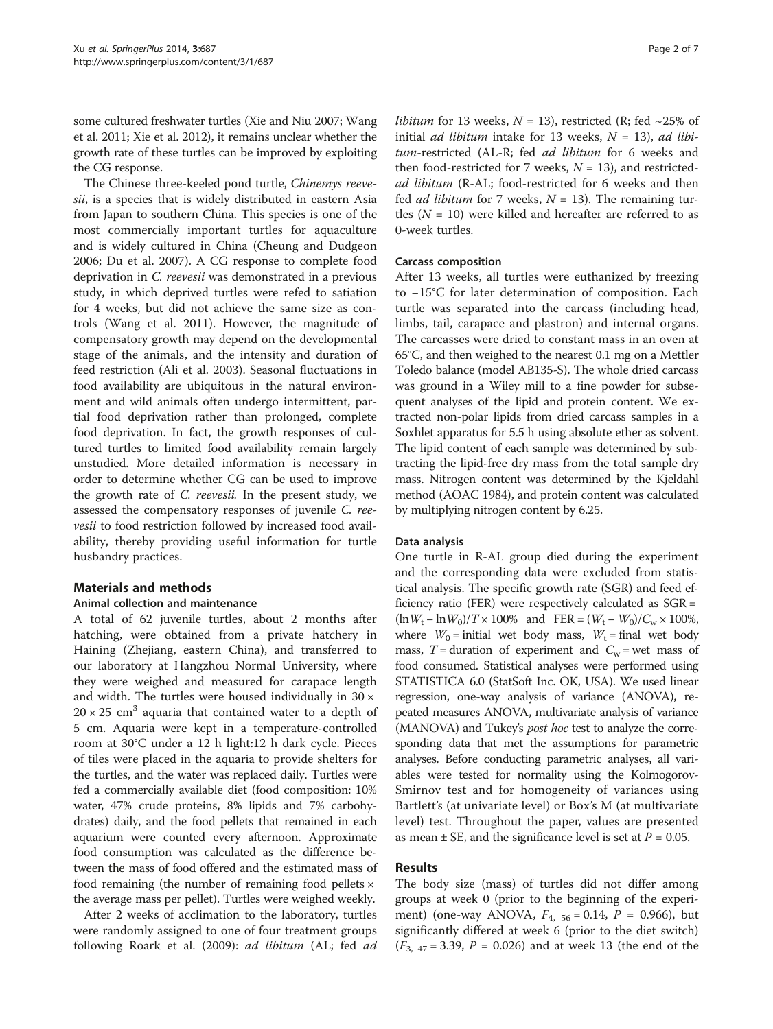some cultured freshwater turtles (Xie and Niu [2007;](#page-6-0) Wang et al. [2011;](#page-6-0) Xie et al. [2012\)](#page-6-0), it remains unclear whether the growth rate of these turtles can be improved by exploiting the CG response.

The Chinese three-keeled pond turtle, Chinemys reevesii, is a species that is widely distributed in eastern Asia from Japan to southern China. This species is one of the most commercially important turtles for aquaculture and is widely cultured in China (Cheung and Dudgeon [2006](#page-5-0); Du et al. [2007](#page-5-0)). A CG response to complete food deprivation in C. reevesii was demonstrated in a previous study, in which deprived turtles were refed to satiation for 4 weeks, but did not achieve the same size as controls (Wang et al. [2011\)](#page-6-0). However, the magnitude of compensatory growth may depend on the developmental stage of the animals, and the intensity and duration of feed restriction (Ali et al. [2003\)](#page-5-0). Seasonal fluctuations in food availability are ubiquitous in the natural environment and wild animals often undergo intermittent, partial food deprivation rather than prolonged, complete food deprivation. In fact, the growth responses of cultured turtles to limited food availability remain largely unstudied. More detailed information is necessary in order to determine whether CG can be used to improve the growth rate of C. reevesii. In the present study, we assessed the compensatory responses of juvenile C. reevesii to food restriction followed by increased food availability, thereby providing useful information for turtle husbandry practices.

# Materials and methods

# Animal collection and maintenance

A total of 62 juvenile turtles, about 2 months after hatching, were obtained from a private hatchery in Haining (Zhejiang, eastern China), and transferred to our laboratory at Hangzhou Normal University, where they were weighed and measured for carapace length and width. The turtles were housed individually in  $30 \times$  $20 \times 25$  cm<sup>3</sup> aquaria that contained water to a depth of 5 cm. Aquaria were kept in a temperature-controlled room at 30°C under a 12 h light:12 h dark cycle. Pieces of tiles were placed in the aquaria to provide shelters for the turtles, and the water was replaced daily. Turtles were fed a commercially available diet (food composition: 10% water, 47% crude proteins, 8% lipids and 7% carbohydrates) daily, and the food pellets that remained in each aquarium were counted every afternoon. Approximate food consumption was calculated as the difference between the mass of food offered and the estimated mass of food remaining (the number of remaining food pellets  $\times$ the average mass per pellet). Turtles were weighed weekly.

After 2 weeks of acclimation to the laboratory, turtles were randomly assigned to one of four treatment groups following Roark et al. ([2009](#page-5-0)): ad libitum (AL; fed ad *libitum* for 13 weeks,  $N = 13$ ), restricted (R; fed ~25% of initial *ad libitum* intake for 13 weeks,  $N = 13$ ), *ad libi*tum-restricted (AL-R; fed ad libitum for 6 weeks and then food-restricted for 7 weeks,  $N = 13$ ), and restrictedad libitum (R-AL; food-restricted for 6 weeks and then fed *ad libitum* for 7 weeks,  $N = 13$ ). The remaining turtles  $(N = 10)$  were killed and hereafter are referred to as 0-week turtles.

#### Carcass composition

After 13 weeks, all turtles were euthanized by freezing to −15°C for later determination of composition. Each turtle was separated into the carcass (including head, limbs, tail, carapace and plastron) and internal organs. The carcasses were dried to constant mass in an oven at 65°C, and then weighed to the nearest 0.1 mg on a Mettler Toledo balance (model AB135-S). The whole dried carcass was ground in a Wiley mill to a fine powder for subsequent analyses of the lipid and protein content. We extracted non-polar lipids from dried carcass samples in a Soxhlet apparatus for 5.5 h using absolute ether as solvent. The lipid content of each sample was determined by subtracting the lipid-free dry mass from the total sample dry mass. Nitrogen content was determined by the Kjeldahl method (AOAC [1984](#page-5-0)), and protein content was calculated by multiplying nitrogen content by 6.25.

#### Data analysis

One turtle in R-AL group died during the experiment and the corresponding data were excluded from statistical analysis. The specific growth rate (SGR) and feed efficiency ratio (FER) were respectively calculated as SGR =  $(\ln W_t - \ln W_0)/T \times 100\%$  and FER =  $(W_t - W_0)/C_w \times 100\%$ , where  $W_0$  = initial wet body mass,  $W_t$  = final wet body mass,  $T =$  duration of experiment and  $C_w =$  wet mass of food consumed. Statistical analyses were performed using STATISTICA 6.0 (StatSoft Inc. OK, USA). We used linear regression, one-way analysis of variance (ANOVA), repeated measures ANOVA, multivariate analysis of variance (MANOVA) and Tukey's *post hoc* test to analyze the corresponding data that met the assumptions for parametric analyses. Before conducting parametric analyses, all variables were tested for normality using the Kolmogorov-Smirnov test and for homogeneity of variances using Bartlett's (at univariate level) or Box's M (at multivariate level) test. Throughout the paper, values are presented as mean  $\pm$  SE, and the significance level is set at  $P = 0.05$ .

# Results

The body size (mass) of turtles did not differ among groups at week 0 (prior to the beginning of the experiment) (one-way ANOVA,  $F_{4, 56} = 0.14$ ,  $P = 0.966$ ), but significantly differed at week 6 (prior to the diet switch)  $(F_{3, 47} = 3.39, P = 0.026)$  and at week 13 (the end of the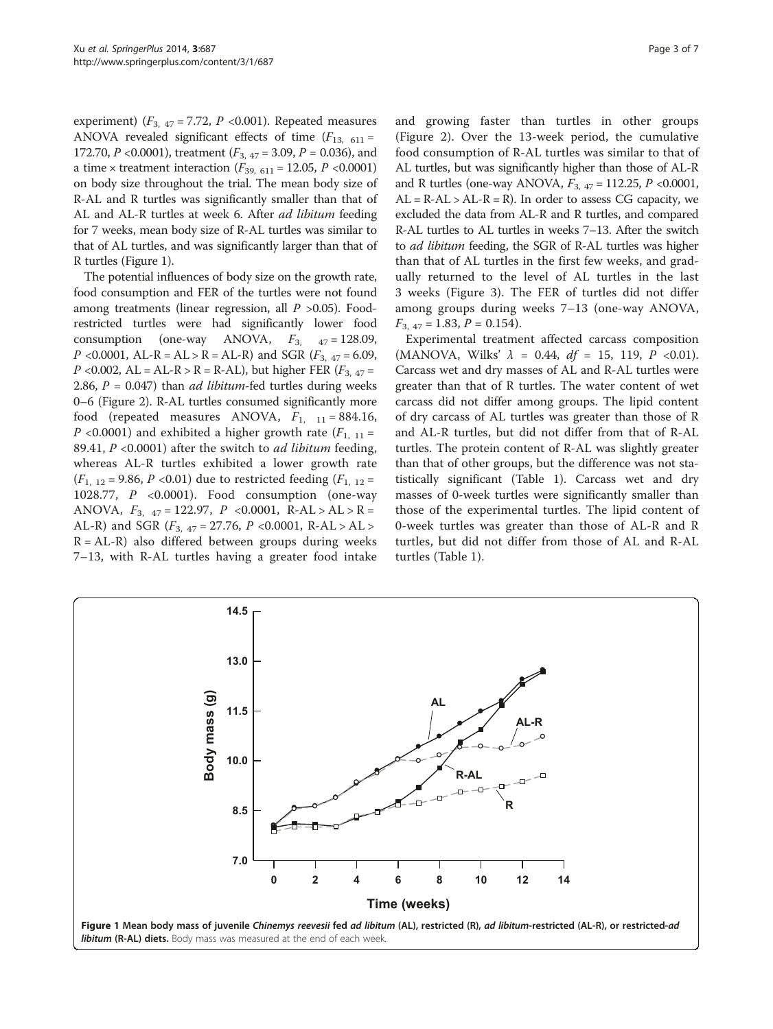experiment) ( $F_{3, 47}$  = 7.72, P < 0.001). Repeated measures ANOVA revealed significant effects of time  $(F_{13, 611} =$ 172.70,  $P$  <0.0001), treatment ( $F_{3, 47}$  = 3.09,  $P$  = 0.036), and a time × treatment interaction ( $F_{39, 611} = 12.05$ ,  $P < 0.0001$ ) on body size throughout the trial. The mean body size of R-AL and R turtles was significantly smaller than that of AL and AL-R turtles at week 6. After *ad libitum* feeding for 7 weeks, mean body size of R-AL turtles was similar to that of AL turtles, and was significantly larger than that of R turtles (Figure 1).

The potential influences of body size on the growth rate, food consumption and FER of the turtles were not found among treatments (linear regression, all  $P > 0.05$ ). Foodrestricted turtles were had significantly lower food consumption (one-way ANOVA,  $F_3$ ,  $_{47} = 128.09$ ,  $P$  <0.0001, AL-R = AL > R = AL-R) and SGR ( $F_{3, 47}$  = 6.09,  $P$  <0.002, AL = AL-R > R = R-AL), but higher FER ( $F_{3,47}$  = 2.86,  $P = 0.047$ ) than *ad libitum*-fed turtles during weeks 0–6 (Figure [2\)](#page-3-0). R-AL turtles consumed significantly more food (repeated measures ANOVA,  $F_{1,11} = 884.16$ ,  $P$  <0.0001) and exhibited a higher growth rate ( $F_{1, 11}$  = 89.41,  $P$  <0.0001) after the switch to *ad libitum* feeding, whereas AL-R turtles exhibited a lower growth rate  $(F_{1, 12} = 9.86, P < 0.01)$  due to restricted feeding  $(F_{1, 12} =$ 1028.77, P <0.0001). Food consumption (one-way ANOVA,  $F_{3, 47} = 122.97$ ,  $P < 0.0001$ ,  $R - AL > AL > R =$ AL-R) and SGR  $(F_{3, 47} = 27.76, P < 0.0001, R-AL > AL >$  $R = AL-R$ ) also differed between groups during weeks 7–13, with R-AL turtles having a greater food intake

and growing faster than turtles in other groups (Figure [2\)](#page-3-0). Over the 13-week period, the cumulative food consumption of R-AL turtles was similar to that of AL turtles, but was significantly higher than those of AL-R and R turtles (one-way ANOVA,  $F_{3, 47} = 112.25$ ,  $P < 0.0001$ ,  $AL = R-AL > AL-R = R$ ). In order to assess CG capacity, we excluded the data from AL-R and R turtles, and compared R-AL turtles to AL turtles in weeks 7–13. After the switch to ad libitum feeding, the SGR of R-AL turtles was higher than that of AL turtles in the first few weeks, and gradually returned to the level of AL turtles in the last 3 weeks (Figure [3](#page-4-0)). The FER of turtles did not differ among groups during weeks 7–13 (one-way ANOVA,  $F_{3,47} = 1.83, P = 0.154$ .

Experimental treatment affected carcass composition (MANOVA, Wilks'  $\lambda = 0.44$ ,  $df = 15$ , 119, P < 0.01). Carcass wet and dry masses of AL and R-AL turtles were greater than that of R turtles. The water content of wet carcass did not differ among groups. The lipid content of dry carcass of AL turtles was greater than those of R and AL-R turtles, but did not differ from that of R-AL turtles. The protein content of R-AL was slightly greater than that of other groups, but the difference was not statistically significant (Table [1](#page-4-0)). Carcass wet and dry masses of 0-week turtles were significantly smaller than those of the experimental turtles. The lipid content of 0-week turtles was greater than those of AL-R and R turtles, but did not differ from those of AL and R-AL turtles (Table [1\)](#page-4-0).

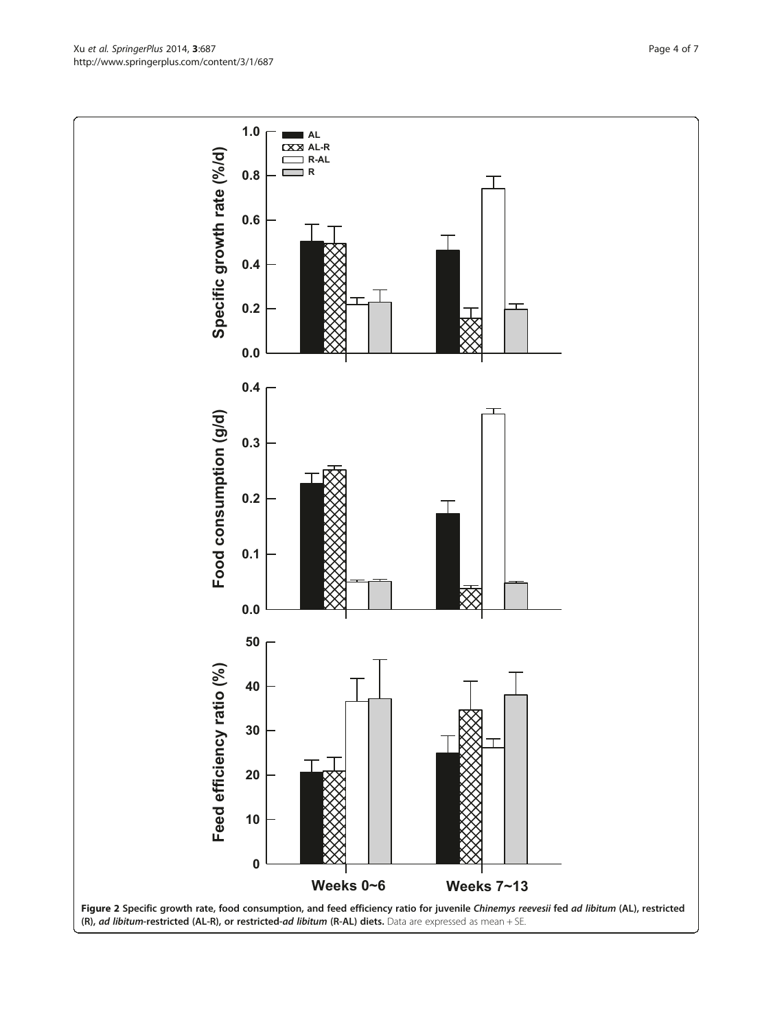Xu et al. SpringerPlus 2014, <sup>3</sup>:687 Page 4 of 7 http://www.springerplus.com/content/3/1/687

<span id="page-3-0"></span>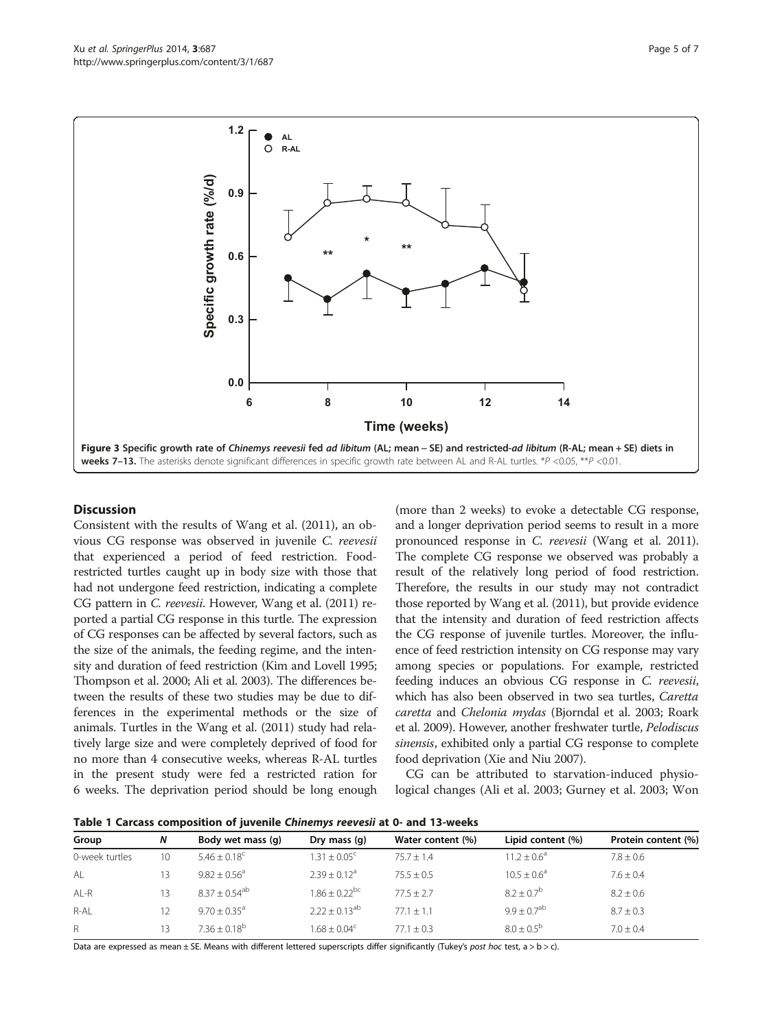<span id="page-4-0"></span>

# **Discussion**

Consistent with the results of Wang et al. ([2011](#page-6-0)), an obvious CG response was observed in juvenile C. reevesii that experienced a period of feed restriction. Foodrestricted turtles caught up in body size with those that had not undergone feed restriction, indicating a complete CG pattern in C. reevesii. However, Wang et al. ([2011](#page-6-0)) reported a partial CG response in this turtle. The expression of CG responses can be affected by several factors, such as the size of the animals, the feeding regime, and the intensity and duration of feed restriction (Kim and Lovell [1995](#page-5-0); Thompson et al. [2000;](#page-6-0) Ali et al. [2003](#page-5-0)). The differences between the results of these two studies may be due to differences in the experimental methods or the size of animals. Turtles in the Wang et al. [\(2011\)](#page-6-0) study had relatively large size and were completely deprived of food for no more than 4 consecutive weeks, whereas R-AL turtles in the present study were fed a restricted ration for 6 weeks. The deprivation period should be long enough

(more than 2 weeks) to evoke a detectable CG response, and a longer deprivation period seems to result in a more pronounced response in C. reevesii (Wang et al. [2011](#page-6-0)). The complete CG response we observed was probably a result of the relatively long period of food restriction. Therefore, the results in our study may not contradict those reported by Wang et al. [\(2011\)](#page-6-0), but provide evidence that the intensity and duration of feed restriction affects the CG response of juvenile turtles. Moreover, the influence of feed restriction intensity on CG response may vary among species or populations. For example, restricted feeding induces an obvious CG response in C. reevesii, which has also been observed in two sea turtles, Caretta caretta and Chelonia mydas (Bjorndal et al. [2003;](#page-5-0) Roark et al. [2009\)](#page-5-0). However, another freshwater turtle, Pelodiscus sinensis, exhibited only a partial CG response to complete food deprivation (Xie and Niu [2007](#page-6-0)).

CG can be attributed to starvation-induced physiological changes (Ali et al. [2003](#page-5-0); Gurney et al. [2003;](#page-5-0) Won

|  |  | Table 1 Carcass composition of juvenile Chinemys reevesii at 0- and 13-weeks |  |  |  |  |  |  |
|--|--|------------------------------------------------------------------------------|--|--|--|--|--|--|
|--|--|------------------------------------------------------------------------------|--|--|--|--|--|--|

| Protein content (%) |
|---------------------|
| $7.8 \pm 0.6$       |
| $7.6 \pm 0.4$       |
| $8.2 \pm 0.6$       |
| $8.7 \pm 0.3$       |
| $7.0 + 0.4$         |
|                     |

Data are expressed as mean  $\pm$  SE. Means with different lettered superscripts differ significantly (Tukey's post hoc test, a > b > c).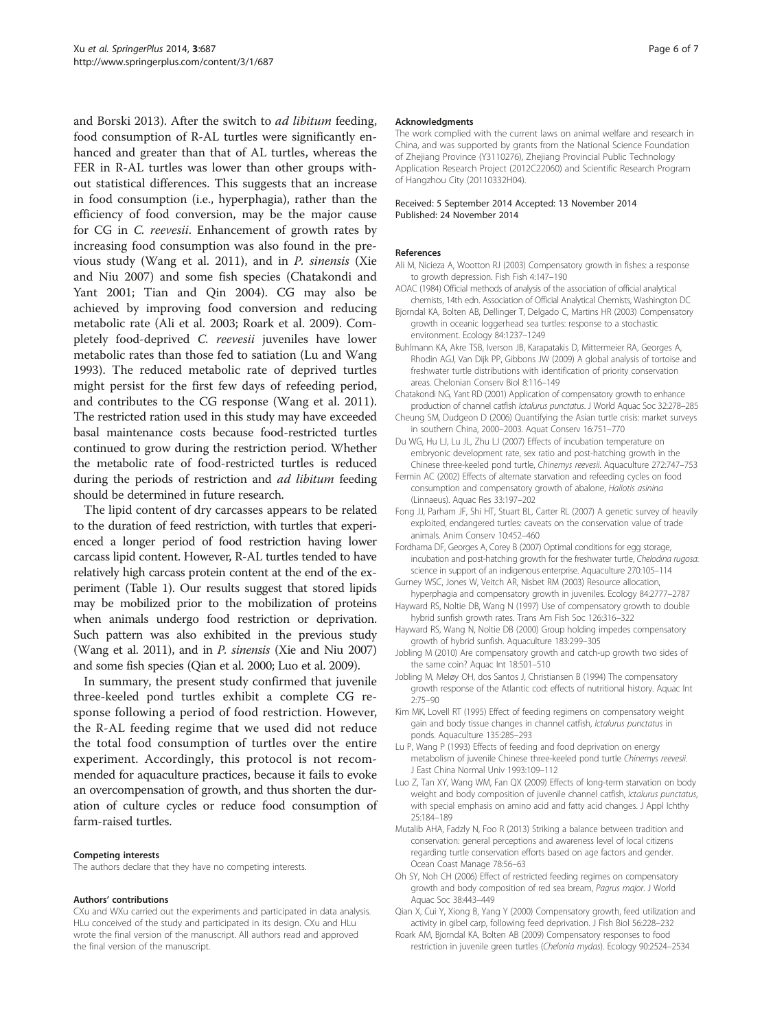<span id="page-5-0"></span>and Borski [2013](#page-6-0)). After the switch to ad libitum feeding, food consumption of R-AL turtles were significantly enhanced and greater than that of AL turtles, whereas the FER in R-AL turtles was lower than other groups without statistical differences. This suggests that an increase in food consumption (i.e., hyperphagia), rather than the efficiency of food conversion, may be the major cause for CG in C. reevesii. Enhancement of growth rates by increasing food consumption was also found in the previous study (Wang et al. [2011](#page-6-0)), and in P. sinensis (Xie and Niu [2007\)](#page-6-0) and some fish species (Chatakondi and Yant 2001; Tian and Qin [2004](#page-6-0)). CG may also be achieved by improving food conversion and reducing metabolic rate (Ali et al. 2003; Roark et al. 2009). Completely food-deprived C. reevesii juveniles have lower metabolic rates than those fed to satiation (Lu and Wang 1993). The reduced metabolic rate of deprived turtles might persist for the first few days of refeeding period, and contributes to the CG response (Wang et al. [2011](#page-6-0)). The restricted ration used in this study may have exceeded basal maintenance costs because food-restricted turtles continued to grow during the restriction period. Whether the metabolic rate of food-restricted turtles is reduced during the periods of restriction and ad libitum feeding should be determined in future research.

The lipid content of dry carcasses appears to be related to the duration of feed restriction, with turtles that experienced a longer period of food restriction having lower carcass lipid content. However, R-AL turtles tended to have relatively high carcass protein content at the end of the experiment (Table [1\)](#page-4-0). Our results suggest that stored lipids may be mobilized prior to the mobilization of proteins when animals undergo food restriction or deprivation. Such pattern was also exhibited in the previous study (Wang et al. [2011](#page-6-0)), and in P. sinensis (Xie and Niu [2007](#page-6-0)) and some fish species (Qian et al. 2000; Luo et al. 2009).

In summary, the present study confirmed that juvenile three-keeled pond turtles exhibit a complete CG response following a period of food restriction. However, the R-AL feeding regime that we used did not reduce the total food consumption of turtles over the entire experiment. Accordingly, this protocol is not recommended for aquaculture practices, because it fails to evoke an overcompensation of growth, and thus shorten the duration of culture cycles or reduce food consumption of farm-raised turtles.

#### Competing interests

The authors declare that they have no competing interests.

#### Authors' contributions

CXu and WXu carried out the experiments and participated in data analysis. HLu conceived of the study and participated in its design. CXu and HLu wrote the final version of the manuscript. All authors read and approved the final version of the manuscript.

#### Acknowledgments

The work complied with the current laws on animal welfare and research in China, and was supported by grants from the National Science Foundation of Zhejiang Province (Y3110276), Zhejiang Provincial Public Technology Application Research Project (2012C22060) and Scientific Research Program of Hangzhou City (20110332H04).

#### Received: 5 September 2014 Accepted: 13 November 2014 Published: 24 November 2014

#### References

- Ali M, Nicieza A, Wootton RJ (2003) Compensatory growth in fishes: a response to growth depression. Fish Fish 4:147–190
- AOAC (1984) Official methods of analysis of the association of official analytical chemists, 14th edn. Association of Official Analytical Chemists, Washington DC
- Bjorndal KA, Bolten AB, Dellinger T, Delgado C, Martins HR (2003) Compensatory growth in oceanic loggerhead sea turtles: response to a stochastic environment. Ecology 84:1237–1249
- Buhlmann KA, Akre TSB, Iverson JB, Karapatakis D, Mittermeier RA, Georges A, Rhodin AGJ, Van Dijk PP, Gibbons JW (2009) A global analysis of tortoise and freshwater turtle distributions with identification of priority conservation areas. Chelonian Conserv Biol 8:116–149
- Chatakondi NG, Yant RD (2001) Application of compensatory growth to enhance production of channel catfish Ictalurus punctatus. J World Aquac Soc 32:278–285
- Cheung SM, Dudgeon D (2006) Quantifying the Asian turtle crisis: market surveys in southern China, 2000–2003. Aquat Conserv 16:751–770
- Du WG, Hu LJ, Lu JL, Zhu LJ (2007) Effects of incubation temperature on embryonic development rate, sex ratio and post-hatching growth in the Chinese three-keeled pond turtle, Chinemys reevesii. Aquaculture 272:747–753
- Fermin AC (2002) Effects of alternate starvation and refeeding cycles on food consumption and compensatory growth of abalone, Haliotis asinina (Linnaeus). Aquac Res 33:197–202
- Fong JJ, Parham JF, Shi HT, Stuart BL, Carter RL (2007) A genetic survey of heavily exploited, endangered turtles: caveats on the conservation value of trade animals. Anim Conserv 10:452–460
- Fordhama DF, Georges A, Corey B (2007) Optimal conditions for egg storage, incubation and post-hatching growth for the freshwater turtle, Chelodina rugosa: science in support of an indigenous enterprise. Aquaculture 270:105–114
- Gurney WSC, Jones W, Veitch AR, Nisbet RM (2003) Resource allocation, hyperphagia and compensatory growth in juveniles. Ecology 84:2777–2787
- Hayward RS, Noltie DB, Wang N (1997) Use of compensatory growth to double hybrid sunfish growth rates. Trans Am Fish Soc 126:316–322
- Hayward RS, Wang N, Noltie DB (2000) Group holding impedes compensatory growth of hybrid sunfish. Aquaculture 183:299–305
- Jobling M (2010) Are compensatory growth and catch-up growth two sides of the same coin? Aquac Int 18:501–510
- Jobling M, Meløy OH, dos Santos J, Christiansen B (1994) The compensatory growth response of the Atlantic cod: effects of nutritional history. Aquac Int 2:75–90
- Kim MK, Lovell RT (1995) Effect of feeding regimens on compensatory weight gain and body tissue changes in channel catfish, Ictalurus punctatus in ponds. Aquaculture 135:285–293
- Lu P, Wang P (1993) Effects of feeding and food deprivation on energy metabolism of juvenile Chinese three-keeled pond turtle Chinemys reevesii. J East China Normal Univ 1993:109–112
- Luo Z, Tan XY, Wang WM, Fan QX (2009) Effects of long-term starvation on body weight and body composition of juvenile channel catfish, Ictalurus punctatus, with special emphasis on amino acid and fatty acid changes. J Appl Ichthy 25:184–189
- Mutalib AHA, Fadzly N, Foo R (2013) Striking a balance between tradition and conservation: general perceptions and awareness level of local citizens regarding turtle conservation efforts based on age factors and gender. Ocean Coast Manage 78:56–63
- Oh SY, Noh CH (2006) Effect of restricted feeding regimes on compensatory growth and body composition of red sea bream, Pagrus major. J World Aquac Soc 38:443–449
- Qian X, Cui Y, Xiong B, Yang Y (2000) Compensatory growth, feed utilization and activity in gibel carp, following feed deprivation. J Fish Biol 56:228–232
- Roark AM, Bjorndal KA, Bolten AB (2009) Compensatory responses to food restriction in juvenile green turtles (Chelonia mydas). Ecology 90:2524–2534